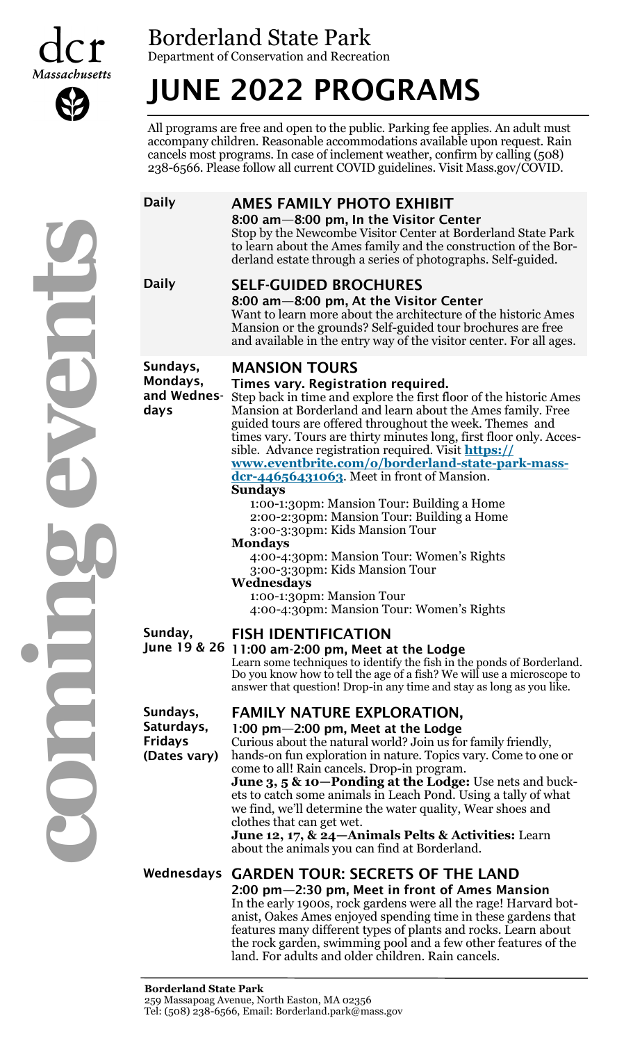



Department of Conservation and Recreation

# JUNE 2022 PROGRAMS

All programs are free and open to the public. Parking fee applies. An adult must accompany children. Reasonable accommodations available upon request. Rain cancels most programs. In case of inclement weather, confirm by calling (508) 238-6566. Please follow all current COVID guidelines. Visit Mass.gov/COVID.

# Daily AMES FAMILY PHOTO EXHIBIT

8:00 am—8:00 pm, In the Visitor Center Stop by the Newcombe Visitor Center at Borderland State Park to learn about the Ames family and the construction of the Borderland estate through a series of photographs. Self-guided.

# Daily **SELF-GUIDED BROCHURES**

8:00 am—8:00 pm, At the Visitor Center Want to learn more about the architecture of the historic Ames Mansion or the grounds? Self-guided tour brochures are free and available in the entry way of the visitor center. For all ages.

Sundays, Mondays, and Wednesdays

### MANSION TOURS

### Times vary. Registration required.

Step back in time and explore the first floor of the historic Ames Mansion at Borderland and learn about the Ames family. Free guided tours are offered throughout the week. Themes and times vary. Tours are thirty minutes long, first floor only. Accessible. Advance registration required. Visit **[https://](https://www.eventbrite.com/o/borderland-state-park-mass-dcr-44656431063)**

### **[www.eventbrite.com/o/borderland](https://www.eventbrite.com/o/borderland-state-park-mass-dcr-44656431063)-state-park-massdcr-[44656431063](https://www.eventbrite.com/o/borderland-state-park-mass-dcr-44656431063)**. Meet in front of Mansion. **Sundays**

1:00-1:30pm: Mansion Tour: Building a Home 2:00-2:30pm: Mansion Tour: Building a Home

3:00-3:30pm: Kids Mansion Tour

### **Mondays**

4:00-4:30pm: Mansion Tour: Women's Rights 3:00-3:30pm: Kids Mansion Tour

### **Wednesdays**

1:00-1:30pm: Mansion Tour 4:00-4:30pm: Mansion Tour: Women's Rights

Sunday,

## FISH IDENTIFICATION

June 19 & 26 11:00 am-2:00 pm, Meet at the Lodge

Learn some techniques to identify the fish in the ponds of Borderland. Do you know how to tell the age of a fish? We will use a microscope to answer that question! Drop-in any time and stay as long as you like.

# FAMILY NATURE EXPLORATION,

### 1:00 pm—2:00 pm, Meet at the Lodge

Saturdays, Fridays (Dates vary)

Sundays,

Curious about the natural world? Join us for family friendly, hands-on fun exploration in nature. Topics vary. Come to one or come to all! Rain cancels. Drop-in program.

**June 3, 5 & 10—Ponding at the Lodge:** Use nets and buckets to catch some animals in Leach Pond. Using a tally of what we find, we'll determine the water quality, Wear shoes and clothes that can get wet.

**June 12, 17, & 24—Animals Pelts & Activities:** Learn about the animals you can find at Borderland.

# Wednesdays GARDEN TOUR: SECRETS OF THE LAND

2:00 pm—2:30 pm, Meet in front of Ames Mansion In the early 1900s, rock gardens were all the rage! Harvard botanist, Oakes Ames enjoyed spending time in these gardens that features many different types of plants and rocks. Learn about the rock garden, swimming pool and a few other features of the land. For adults and older children. Rain cancels.